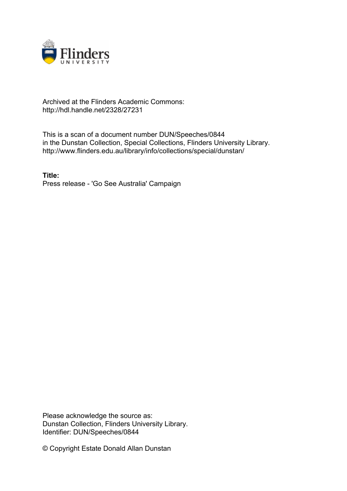

## Archived at the Flinders Academic Commons: http://hdl.handle.net/2328/27231

This is a scan of a document number DUN/Speeches/0844 in the Dunstan Collection, Special Collections, Flinders University Library. http://www.flinders.edu.au/library/info/collections/special/dunstan/

**Title:** Press release - 'Go See Australia' Campaign

Please acknowledge the source as: Dunstan Collection, Flinders University Library. Identifier: DUN/Speeches/0844

© Copyright Estate Donald Allan Dunstan